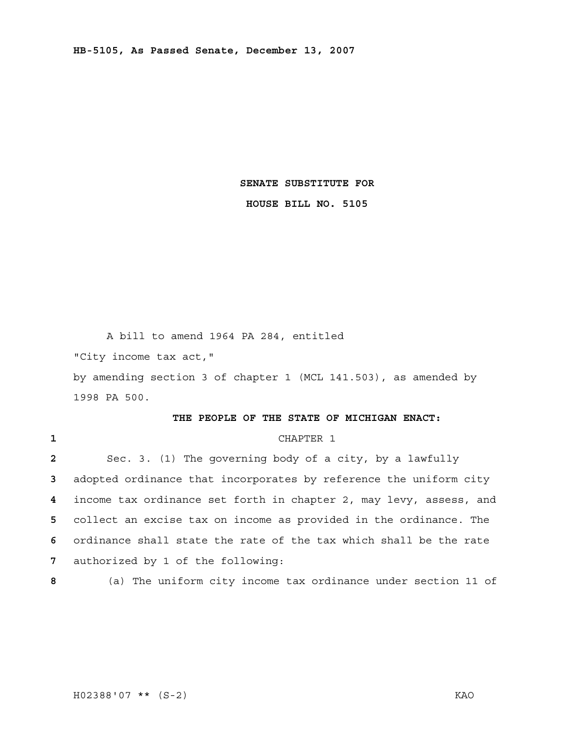**SENATE SUBSTITUTE FOR** 

**HOUSE BILL NO. 5105** 

 A bill to amend 1964 PA 284, entitled "City income tax act," by amending section 3 of chapter 1 (MCL 141.503), as amended by 1998 PA 500.

## **THE PEOPLE OF THE STATE OF MICHIGAN ENACT:**

## **1** CHAPTER 1

Sec. 3. (1) The governing body of a city, by a lawfully adopted ordinance that incorporates by reference the uniform city income tax ordinance set forth in chapter 2, may levy, assess, and collect an excise tax on income as provided in the ordinance. The ordinance shall state the rate of the tax which shall be the rate authorized by 1 of the following:

**8** (a) The uniform city income tax ordinance under section 11 of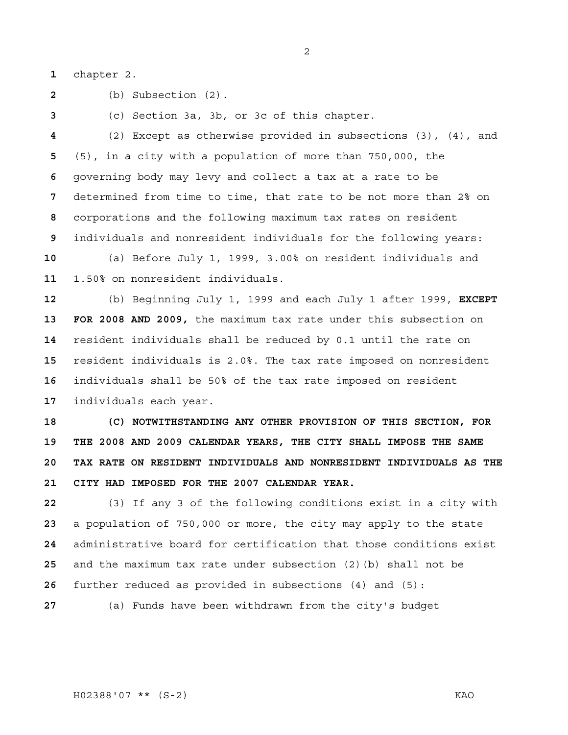chapter 2.

(b) Subsection (2).

(c) Section 3a, 3b, or 3c of this chapter.

(2) Except as otherwise provided in subsections (3), (4), and (5), in a city with a population of more than 750,000, the governing body may levy and collect a tax at a rate to be determined from time to time, that rate to be not more than 2% on corporations and the following maximum tax rates on resident individuals and nonresident individuals for the following years:

(a) Before July 1, 1999, 3.00% on resident individuals and 1.50% on nonresident individuals.

(b) Beginning July 1, 1999 and each July 1 after 1999, **EXCEPT 13 FOR 2008 AND 2009,** the maximum tax rate under this subsection on resident individuals shall be reduced by 0.1 until the rate on resident individuals is 2.0%. The tax rate imposed on nonresident individuals shall be 50% of the tax rate imposed on resident individuals each year.

**18 (C) NOTWITHSTANDING ANY OTHER PROVISION OF THIS SECTION, FOR 19 THE 2008 AND 2009 CALENDAR YEARS, THE CITY SHALL IMPOSE THE SAME 20 TAX RATE ON RESIDENT INDIVIDUALS AND NONRESIDENT INDIVIDUALS AS THE 21 CITY HAD IMPOSED FOR THE 2007 CALENDAR YEAR.** 

(3) If any 3 of the following conditions exist in a city with a population of 750,000 or more, the city may apply to the state administrative board for certification that those conditions exist and the maximum tax rate under subsection (2)(b) shall not be further reduced as provided in subsections (4) and (5):

(a) Funds have been withdrawn from the city's budget

H02388'07 \*\* (S-2) KAO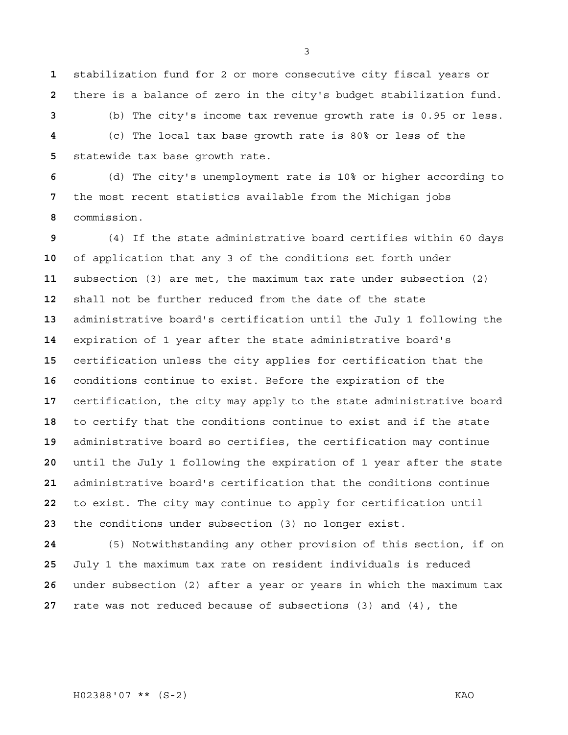stabilization fund for 2 or more consecutive city fiscal years or there is a balance of zero in the city's budget stabilization fund.

(b) The city's income tax revenue growth rate is 0.95 or less. (c) The local tax base growth rate is 80% or less of the statewide tax base growth rate.

(d) The city's unemployment rate is 10% or higher according to the most recent statistics available from the Michigan jobs commission.

(4) If the state administrative board certifies within 60 days of application that any 3 of the conditions set forth under subsection (3) are met, the maximum tax rate under subsection (2) shall not be further reduced from the date of the state administrative board's certification until the July 1 following the expiration of 1 year after the state administrative board's certification unless the city applies for certification that the conditions continue to exist. Before the expiration of the certification, the city may apply to the state administrative board to certify that the conditions continue to exist and if the state administrative board so certifies, the certification may continue until the July 1 following the expiration of 1 year after the state administrative board's certification that the conditions continue to exist. The city may continue to apply for certification until the conditions under subsection (3) no longer exist.

(5) Notwithstanding any other provision of this section, if on July 1 the maximum tax rate on resident individuals is reduced under subsection (2) after a year or years in which the maximum tax rate was not reduced because of subsections (3) and (4), the

H02388'07 \*\* (S-2) KAO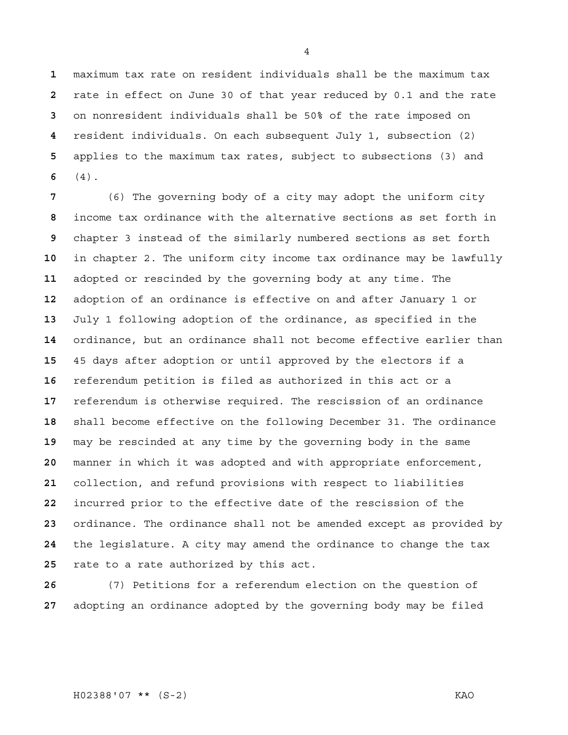maximum tax rate on resident individuals shall be the maximum tax rate in effect on June 30 of that year reduced by 0.1 and the rate on nonresident individuals shall be 50% of the rate imposed on resident individuals. On each subsequent July 1, subsection (2) applies to the maximum tax rates, subject to subsections (3) and (4).

(6) The governing body of a city may adopt the uniform city income tax ordinance with the alternative sections as set forth in chapter 3 instead of the similarly numbered sections as set forth in chapter 2. The uniform city income tax ordinance may be lawfully adopted or rescinded by the governing body at any time. The adoption of an ordinance is effective on and after January 1 or July 1 following adoption of the ordinance, as specified in the ordinance, but an ordinance shall not become effective earlier than 45 days after adoption or until approved by the electors if a referendum petition is filed as authorized in this act or a referendum is otherwise required. The rescission of an ordinance shall become effective on the following December 31. The ordinance may be rescinded at any time by the governing body in the same manner in which it was adopted and with appropriate enforcement, collection, and refund provisions with respect to liabilities incurred prior to the effective date of the rescission of the ordinance. The ordinance shall not be amended except as provided by the legislature. A city may amend the ordinance to change the tax rate to a rate authorized by this act.

(7) Petitions for a referendum election on the question of adopting an ordinance adopted by the governing body may be filed

H02388'07 \*\* (S-2) KAO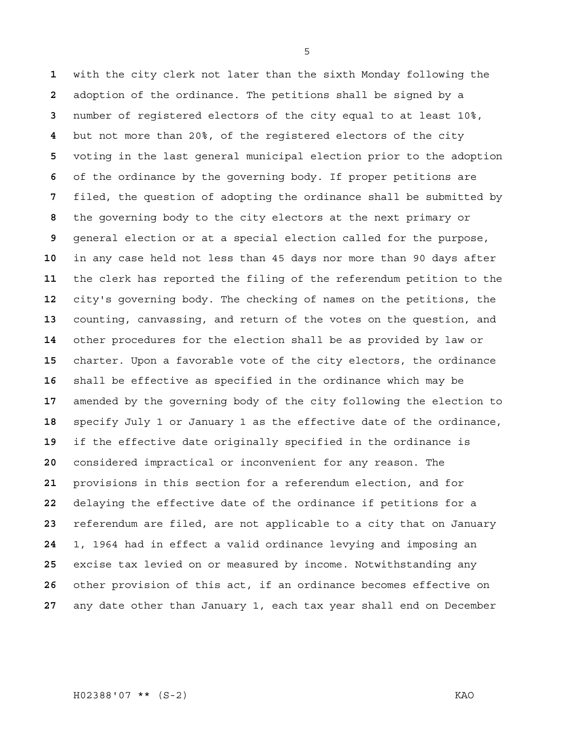with the city clerk not later than the sixth Monday following the adoption of the ordinance. The petitions shall be signed by a number of registered electors of the city equal to at least 10%, but not more than 20%, of the registered electors of the city voting in the last general municipal election prior to the adoption of the ordinance by the governing body. If proper petitions are filed, the question of adopting the ordinance shall be submitted by the governing body to the city electors at the next primary or general election or at a special election called for the purpose, in any case held not less than 45 days nor more than 90 days after the clerk has reported the filing of the referendum petition to the city's governing body. The checking of names on the petitions, the counting, canvassing, and return of the votes on the question, and other procedures for the election shall be as provided by law or charter. Upon a favorable vote of the city electors, the ordinance shall be effective as specified in the ordinance which may be amended by the governing body of the city following the election to specify July 1 or January 1 as the effective date of the ordinance, if the effective date originally specified in the ordinance is considered impractical or inconvenient for any reason. The provisions in this section for a referendum election, and for delaying the effective date of the ordinance if petitions for a referendum are filed, are not applicable to a city that on January 1, 1964 had in effect a valid ordinance levying and imposing an excise tax levied on or measured by income. Notwithstanding any other provision of this act, if an ordinance becomes effective on any date other than January 1, each tax year shall end on December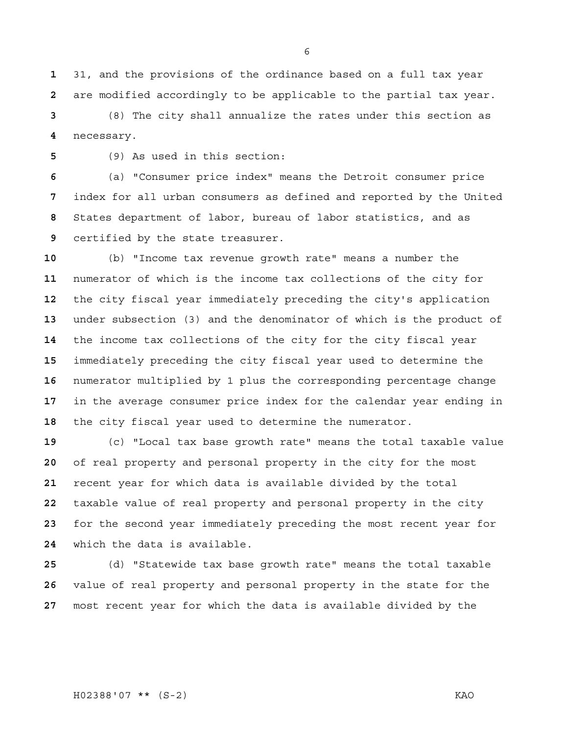31, and the provisions of the ordinance based on a full tax year are modified accordingly to be applicable to the partial tax year.

(8) The city shall annualize the rates under this section as necessary.

(9) As used in this section:

(a) "Consumer price index" means the Detroit consumer price index for all urban consumers as defined and reported by the United States department of labor, bureau of labor statistics, and as certified by the state treasurer.

(b) "Income tax revenue growth rate" means a number the numerator of which is the income tax collections of the city for the city fiscal year immediately preceding the city's application under subsection (3) and the denominator of which is the product of the income tax collections of the city for the city fiscal year immediately preceding the city fiscal year used to determine the numerator multiplied by 1 plus the corresponding percentage change in the average consumer price index for the calendar year ending in the city fiscal year used to determine the numerator.

(c) "Local tax base growth rate" means the total taxable value of real property and personal property in the city for the most recent year for which data is available divided by the total taxable value of real property and personal property in the city for the second year immediately preceding the most recent year for which the data is available.

(d) "Statewide tax base growth rate" means the total taxable value of real property and personal property in the state for the most recent year for which the data is available divided by the